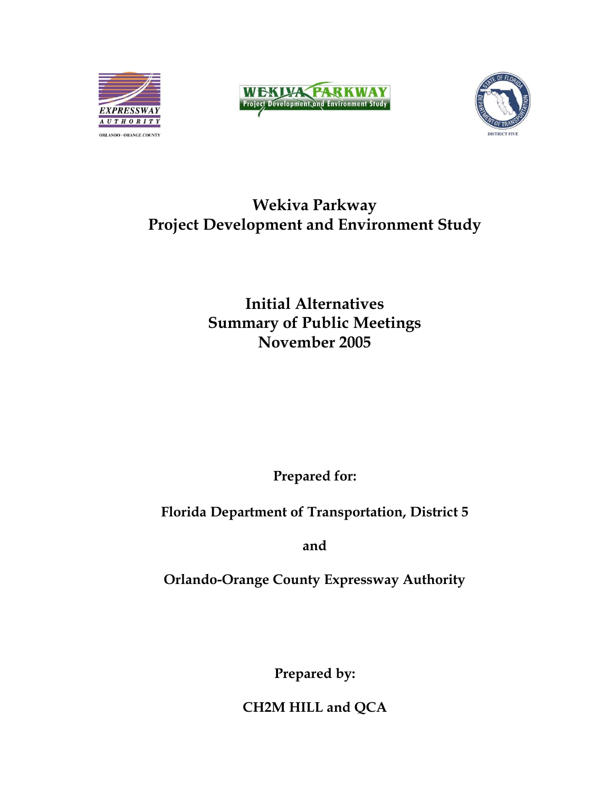





# **Wekiva Parkway Project Development and Environment Study**

**Initial Alternatives Summary of Public Meetings November 2005**

**Prepared for:**

**Florida Department of Transportation, District 5**

**and**

**Orlando-Orange County Expressway Authority**

**Prepared by:**

**CH2M HILL and QCA**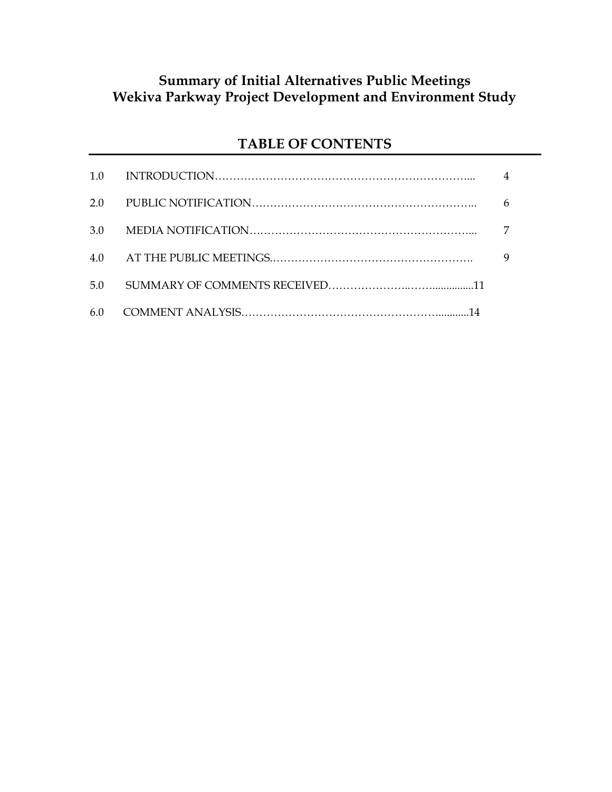# **Summary of Initial Alternatives Public Meetings Wekiva Parkway Project Development and Environment Study**

# **TABLE OF CONTENTS**

| 1.0 |   |
|-----|---|
| 2.0 |   |
| 3.0 |   |
| 4.0 | 9 |
| 5.0 |   |
|     |   |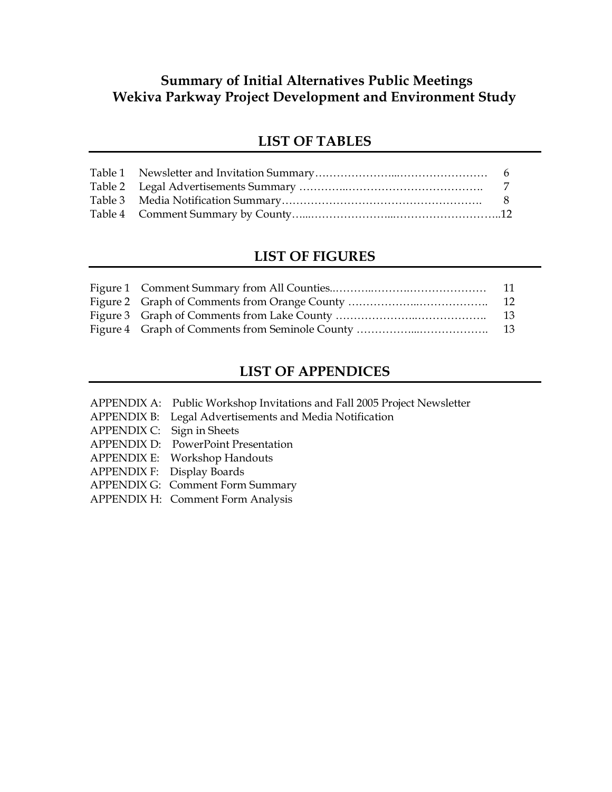# **Summary of Initial Alternatives Public Meetings Wekiva Parkway Project Development and Environment Study**

### **LIST OF TABLES**

### **LIST OF FIGURES**

## **LIST OF APPENDICES**

- APPENDIX A: Public Workshop Invitations and Fall 2005 Project Newsletter
- APPENDIX B: Legal Advertisements and Media Notification
- APPENDIX C: Sign in Sheets
- APPENDIX D: PowerPoint Presentation
- APPENDIX E: Workshop Handouts
- APPENDIX F: Display Boards
- APPENDIX G: Comment Form Summary
- APPENDIX H: Comment Form Analysis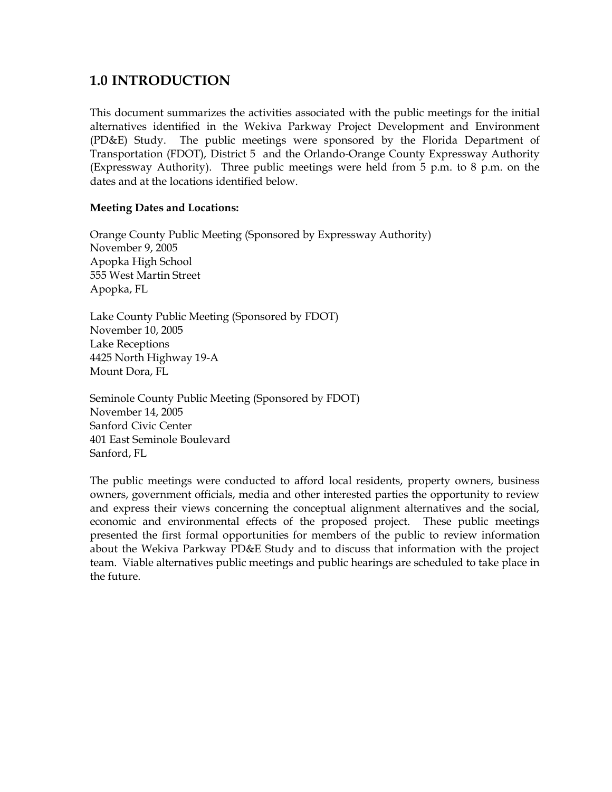## **1.0 INTRODUCTION**

This document summarizes the activities associated with the public meetings for the initial alternatives identified in the Wekiva Parkway Project Development and Environment (PD&E) Study. The public meetings were sponsored by the Florida Department of Transportation (FDOT), District 5 and the Orlando-Orange County Expressway Authority (Expressway Authority). Three public meetings were held from 5 p.m. to 8 p.m. on the dates and at the locations identified below.

### **Meeting Dates and Locations:**

Orange County Public Meeting (Sponsored by Expressway Authority) November 9, 2005 Apopka High School 555 West Martin Street Apopka, FL

Lake County Public Meeting (Sponsored by FDOT) November 10, 2005 Lake Receptions 4425 North Highway 19-A Mount Dora, FL

Seminole County Public Meeting (Sponsored by FDOT) November 14, 2005 Sanford Civic Center 401 East Seminole Boulevard Sanford, FL

The public meetings were conducted to afford local residents, property owners, business owners, government officials, media and other interested parties the opportunity to review and express their views concerning the conceptual alignment alternatives and the social, economic and environmental effects of the proposed project. These public meetings presented the first formal opportunities for members of the public to review information about the Wekiva Parkway PD&E Study and to discuss that information with the project team. Viable alternatives public meetings and public hearings are scheduled to take place in the future.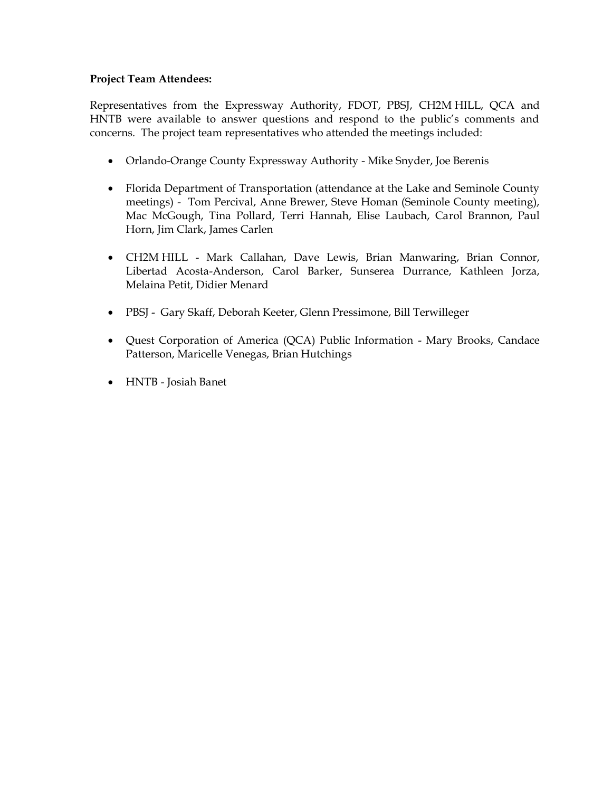### **Project Team Attendees:**

Representatives from the Expressway Authority, FDOT, PBSJ, CH2M HILL, QCA and HNTB were available to answer questions and respond to the public's comments and concerns. The project team representatives who attended the meetings included:

- Orlando-Orange County Expressway Authority Mike Snyder, Joe Berenis
- Florida Department of Transportation (attendance at the Lake and Seminole County meetings) - Tom Percival, Anne Brewer, Steve Homan (Seminole County meeting), Mac McGough, Tina Pollard, Terri Hannah, Elise Laubach, Carol Brannon, Paul Horn, Jim Clark, James Carlen
- CH2M HILL Mark Callahan, Dave Lewis, Brian Manwaring, Brian Connor, Libertad Acosta-Anderson, Carol Barker, Sunserea Durrance, Kathleen Jorza, Melaina Petit, Didier Menard
- PBSJ Gary Skaff, Deborah Keeter, Glenn Pressimone, Bill Terwilleger
- Quest Corporation of America (QCA) Public Information Mary Brooks, Candace Patterson, Maricelle Venegas, Brian Hutchings
- HNTB Josiah Banet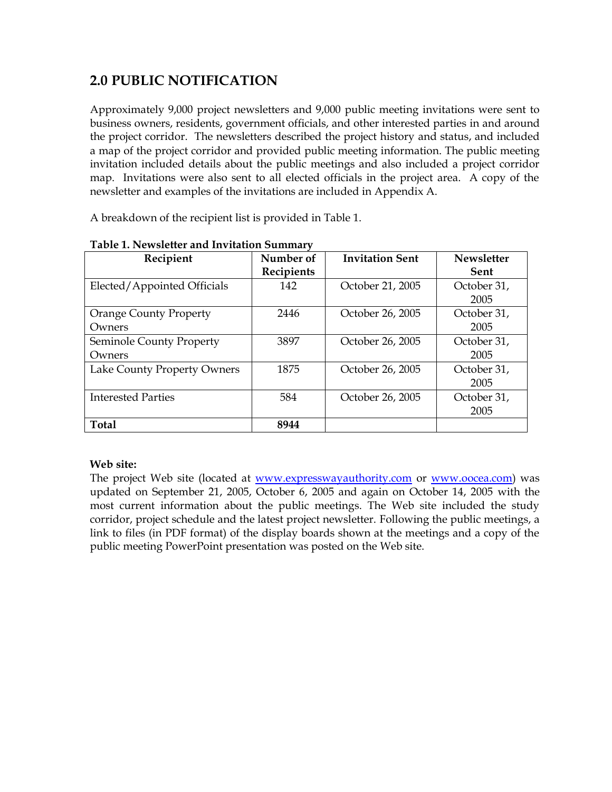# **2.0 PUBLIC NOTIFICATION**

Approximately 9,000 project newsletters and 9,000 public meeting invitations were sent to business owners, residents, government officials, and other interested parties in and around the project corridor. The newsletters described the project history and status, and included a map of the project corridor and provided public meeting information. The public meeting invitation included details about the public meetings and also included a project corridor map. Invitations were also sent to all elected officials in the project area. A copy of the newsletter and examples of the invitations are included in Appendix A.

A breakdown of the recipient list is provided in Table 1.

| Recipient                     | Number of  | <b>Invitation Sent</b> | <b>Newsletter</b> |
|-------------------------------|------------|------------------------|-------------------|
|                               | Recipients |                        | <b>Sent</b>       |
| Elected/Appointed Officials   | 142        | October 21, 2005       | October 31,       |
|                               |            |                        | 2005              |
| <b>Orange County Property</b> | 2446       | October 26, 2005       | October 31,       |
| Owners                        |            |                        | 2005              |
| Seminole County Property      | 3897       | October 26, 2005       | October 31,       |
| Owners                        |            |                        | 2005              |
| Lake County Property Owners   | 1875       | October 26, 2005       | October 31,       |
|                               |            |                        | 2005              |
| <b>Interested Parties</b>     | 584        | October 26, 2005       | October 31,       |
|                               |            |                        | 2005              |
| <b>Total</b>                  | 8944       |                        |                   |

### **Table 1. Newsletter and Invitation Summary**

### **Web site:**

The project Web site (located at [www.expresswayauthority.com](http://www.expresswayauthority.com/) or [www.oocea.com\)](http://www.oocea.com/) was updated on September 21, 2005, October 6, 2005 and again on October 14, 2005 with the most current information about the public meetings. The Web site included the study corridor, project schedule and the latest project newsletter. Following the public meetings, a link to files (in PDF format) of the display boards shown at the meetings and a copy of the public meeting PowerPoint presentation was posted on the Web site.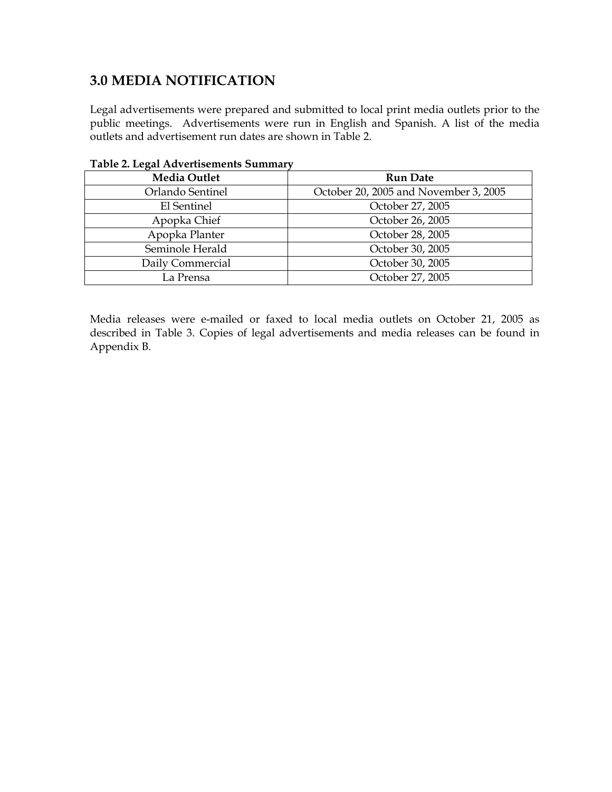# **3.0 MEDIA NOTIFICATION**

Legal advertisements were prepared and submitted to local print media outlets prior to the public meetings. Advertisements were run in English and Spanish. A list of the media outlets and advertisement run dates are shown in Table 2.

| <b>Media Outlet</b> | <b>Run Date</b>                       |  |
|---------------------|---------------------------------------|--|
| Orlando Sentinel    | October 20, 2005 and November 3, 2005 |  |
| El Sentinel         | October 27, 2005                      |  |
| Apopka Chief        | October 26, 2005                      |  |
| Apopka Planter      | October 28, 2005                      |  |
| Seminole Herald     | October 30, 2005                      |  |
| Daily Commercial    | October 30, 2005                      |  |
| La Prensa           | October 27, 2005                      |  |

### **Table 2. Legal Advertisements Summary**

Media releases were e-mailed or faxed to local media outlets on October 21, 2005 as described in Table 3. Copies of legal advertisements and media releases can be found in Appendix B.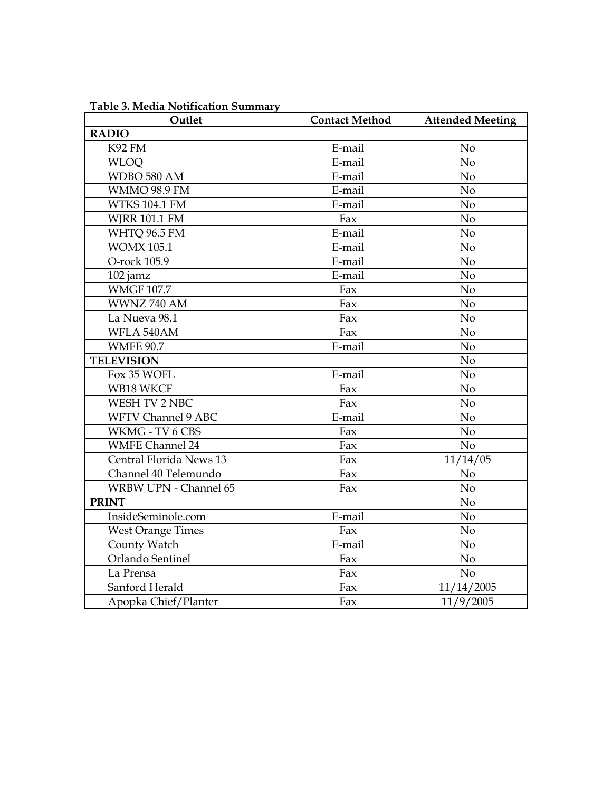| Outlet                       | <b>Contact Method</b> | <b>Attended Meeting</b> |
|------------------------------|-----------------------|-------------------------|
| <b>RADIO</b>                 |                       |                         |
| <b>K92 FM</b>                | E-mail                | N <sub>o</sub>          |
| <b>WLOO</b>                  | E-mail                | No.                     |
| WDBO 580 AM                  | E-mail                | No                      |
| <b>WMMO 98.9 FM</b>          | E-mail                | No                      |
| <b>WTKS 104.1 FM</b>         | E-mail                | No                      |
| <b>WJRR 101.1 FM</b>         | Fax                   | No                      |
| <b>WHTQ 96.5 FM</b>          | E-mail                | No                      |
| <b>WOMX 105.1</b>            | E-mail                | No                      |
| O-rock 105.9                 | E-mail                | N <sub>o</sub>          |
| 102 jamz                     | E-mail                | No                      |
| <b>WMGF 107.7</b>            | Fax                   | No                      |
| WWNZ 740 AM                  | Fax                   | N <sub>o</sub>          |
| La Nueva 98.1                | Fax                   | No                      |
| WFLA 540AM                   | Fax                   | N <sub>o</sub>          |
| <b>WMFE 90.7</b>             | E-mail                | No                      |
| <b>TELEVISION</b>            |                       | No                      |
| Fox 35 WOFL                  | E-mail                | No                      |
| WB18 WKCF                    | Fax                   | N <sub>o</sub>          |
| WESH TV 2 NBC                | Fax                   | N <sub>o</sub>          |
| <b>WFTV Channel 9 ABC</b>    | E-mail                | No                      |
| WKMG - TV 6 CBS              | Fax                   | No                      |
| <b>WMFE Channel 24</b>       | Fax                   | No                      |
| Central Florida News 13      | Fax                   | 11/14/05                |
| Channel 40 Telemundo         | Fax                   | No                      |
| <b>WRBW UPN - Channel 65</b> | Fax                   | N <sub>o</sub>          |
| <b>PRINT</b>                 |                       | N <sub>o</sub>          |
| InsideSeminole.com           | E-mail                | N <sub>o</sub>          |
| <b>West Orange Times</b>     | Fax                   | No                      |
| County Watch                 | E-mail                | No                      |
| Orlando Sentinel             | Fax                   | No.                     |
| La Prensa                    | Fax                   | No                      |
| Sanford Herald               | Fax                   | 11/14/2005              |
| Apopka Chief/Planter         | Fax                   | 11/9/2005               |

**Table 3. Media Notification Summary**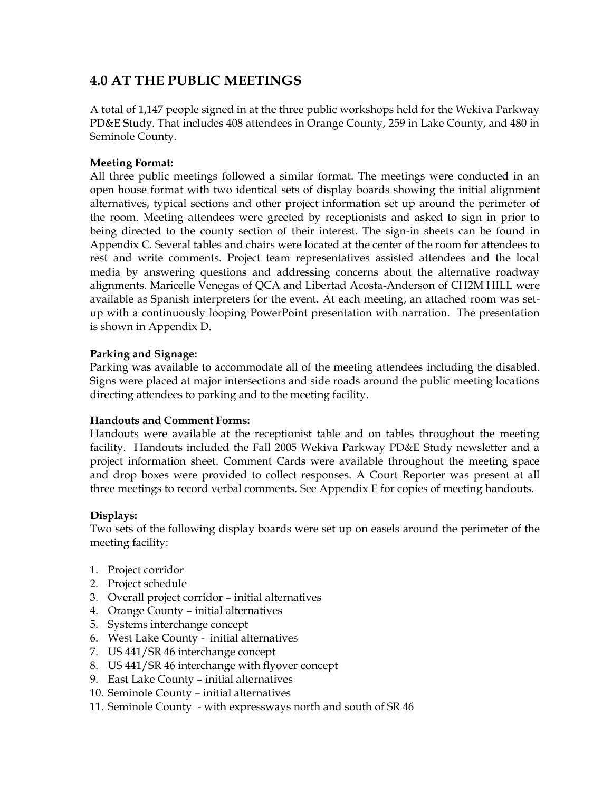# **4.0 AT THE PUBLIC MEETINGS**

A total of 1,147 people signed in at the three public workshops held for the Wekiva Parkway PD&E Study. That includes 408 attendees in Orange County, 259 in Lake County, and 480 in Seminole County.

### **Meeting Format:**

All three public meetings followed a similar format. The meetings were conducted in an open house format with two identical sets of display boards showing the initial alignment alternatives, typical sections and other project information set up around the perimeter of the room. Meeting attendees were greeted by receptionists and asked to sign in prior to being directed to the county section of their interest. The sign-in sheets can be found in Appendix C. Several tables and chairs were located at the center of the room for attendees to rest and write comments. Project team representatives assisted attendees and the local media by answering questions and addressing concerns about the alternative roadway alignments. Maricelle Venegas of QCA and Libertad Acosta-Anderson of CH2M HILL were available as Spanish interpreters for the event. At each meeting, an attached room was setup with a continuously looping PowerPoint presentation with narration. The presentation is shown in Appendix D.

### **Parking and Signage:**

Parking was available to accommodate all of the meeting attendees including the disabled. Signs were placed at major intersections and side roads around the public meeting locations directing attendees to parking and to the meeting facility.

### **Handouts and Comment Forms:**

Handouts were available at the receptionist table and on tables throughout the meeting facility. Handouts included the Fall 2005 Wekiva Parkway PD&E Study newsletter and a project information sheet. Comment Cards were available throughout the meeting space and drop boxes were provided to collect responses. A Court Reporter was present at all three meetings to record verbal comments. See Appendix E for copies of meeting handouts.

### **Displays:**

Two sets of the following display boards were set up on easels around the perimeter of the meeting facility:

- 1. Project corridor
- 2. Project schedule
- 3. Overall project corridor initial alternatives
- 4. Orange County initial alternatives
- 5. Systems interchange concept
- 6. West Lake County initial alternatives
- 7. US 441/SR 46 interchange concept
- 8. US 441/SR 46 interchange with flyover concept
- 9. East Lake County initial alternatives
- 10. Seminole County initial alternatives
- 11. Seminole County with expressways north and south of SR 46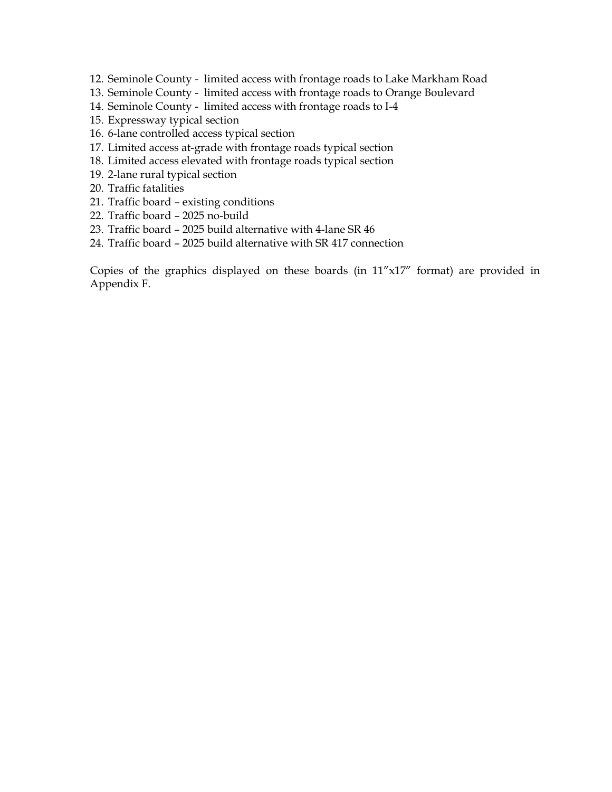- 12. Seminole County limited access with frontage roads to Lake Markham Road
- 13. Seminole County limited access with frontage roads to Orange Boulevard
- 14. Seminole County limited access with frontage roads to I-4
- 15. Expressway typical section
- 16. 6-lane controlled access typical section
- 17. Limited access at-grade with frontage roads typical section
- 18. Limited access elevated with frontage roads typical section
- 19. 2-lane rural typical section
- 20. Traffic fatalities
- 21. Traffic board existing conditions
- 22. Traffic board 2025 no-build
- 23. Traffic board 2025 build alternative with 4-lane SR 46
- 24. Traffic board 2025 build alternative with SR 417 connection

Copies of the graphics displayed on these boards (in 11"x17" format) are provided in Appendix F.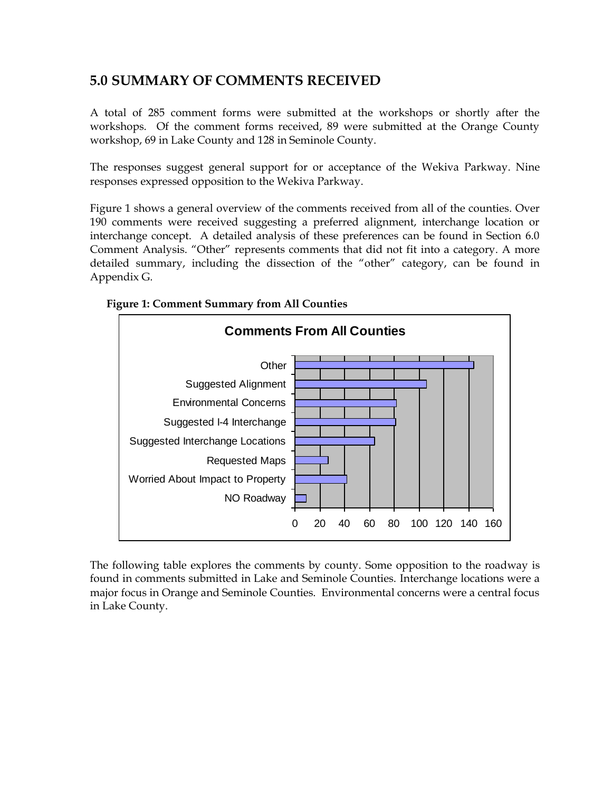# **5.0 SUMMARY OF COMMENTS RECEIVED**

A total of 285 comment forms were submitted at the workshops or shortly after the workshops. Of the comment forms received, 89 were submitted at the Orange County workshop, 69 in Lake County and 128 in Seminole County.

The responses suggest general support for or acceptance of the Wekiva Parkway. Nine responses expressed opposition to the Wekiva Parkway.

Figure 1 shows a general overview of the comments received from all of the counties. Over 190 comments were received suggesting a preferred alignment, interchange location or interchange concept. A detailed analysis of these preferences can be found in Section 6.0 Comment Analysis. "Other" represents comments that did not fit into a category. A more detailed summary, including the dissection of the "other" category, can be found in Appendix G.



### **Figure 1: Comment Summary from All Counties**

The following table explores the comments by county. Some opposition to the roadway is found in comments submitted in Lake and Seminole Counties. Interchange locations were a major focus in Orange and Seminole Counties. Environmental concerns were a central focus in Lake County.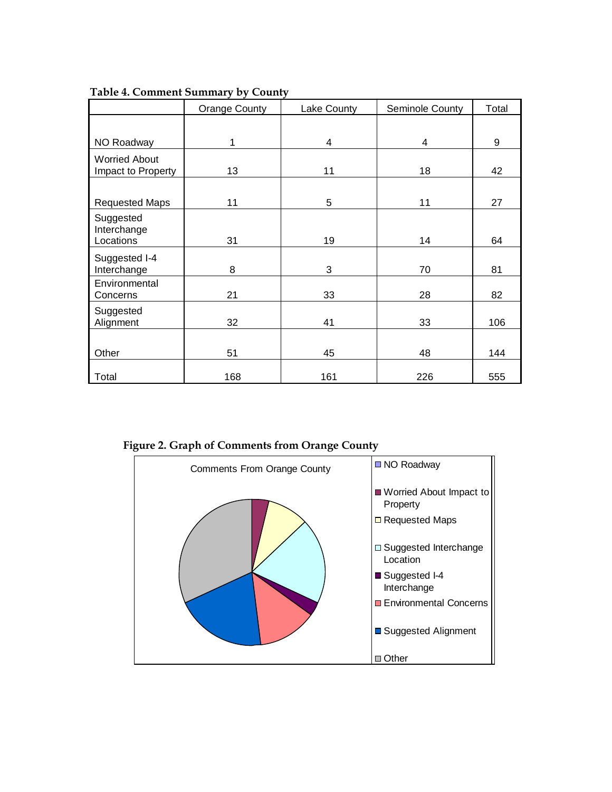|                                            | 1.25                 |             |                 |       |
|--------------------------------------------|----------------------|-------------|-----------------|-------|
|                                            | <b>Orange County</b> | Lake County | Seminole County | Total |
| NO Roadway                                 | 1                    | 4           | 4               | 9     |
| <b>Worried About</b><br>Impact to Property | 13                   | 11          | 18              | 42    |
| <b>Requested Maps</b>                      | 11                   | 5           | 11              | 27    |
| Suggested<br>Interchange<br>Locations      | 31                   | 19          | 14              | 64    |
| Suggested I-4<br>Interchange               | 8                    | 3           | 70              | 81    |
| Environmental<br>Concerns                  | 21                   | 33          | 28              | 82    |
| Suggested<br>Alignment                     | 32                   | 41          | 33              | 106   |
| Other                                      | 51                   | 45          | 48              | 144   |
| Total                                      | 168                  | 161         | 226             | 555   |

**Table 4. Comment Summary by County**

 **Figure 2. Graph of Comments from Orange County**

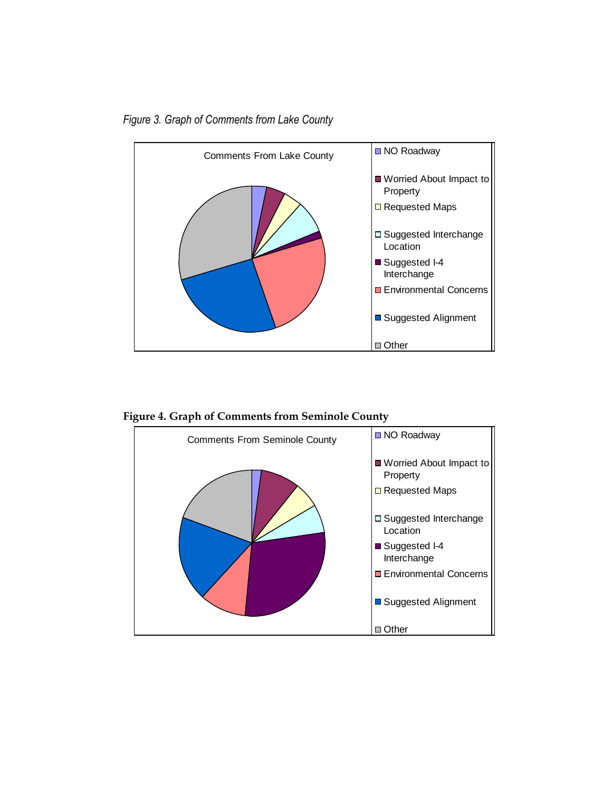*Figure 3. Graph of Comments from Lake County*



 **Figure 4. Graph of Comments from Seminole County**

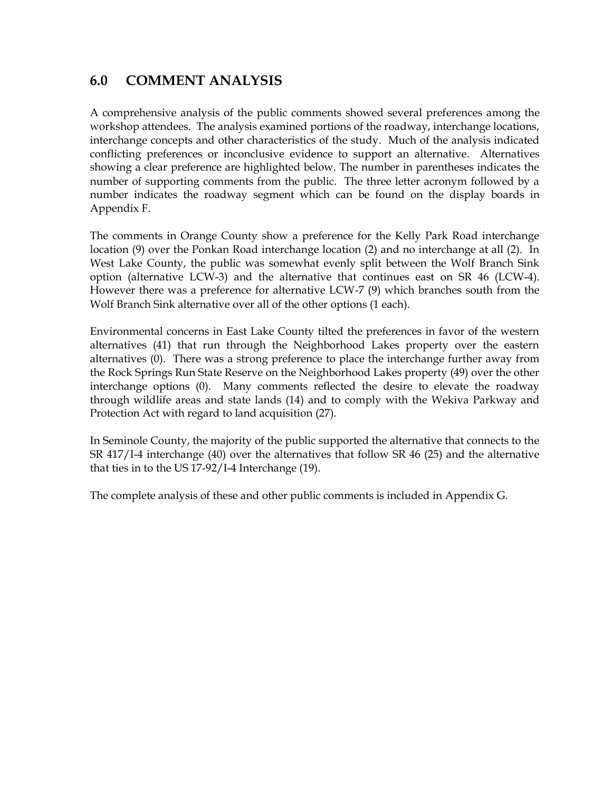## **6.0 COMMENT ANALYSIS**

A comprehensive analysis of the public comments showed several preferences among the workshop attendees. The analysis examined portions of the roadway, interchange locations, interchange concepts and other characteristics of the study. Much of the analysis indicated conflicting preferences or inconclusive evidence to support an alternative. Alternatives showing a clear preference are highlighted below. The number in parentheses indicates the number of supporting comments from the public. The three letter acronym followed by a number indicates the roadway segment which can be found on the display boards in Appendix F.

The comments in Orange County show a preference for the Kelly Park Road interchange location (9) over the Ponkan Road interchange location (2) and no interchange at all (2). In West Lake County, the public was somewhat evenly split between the Wolf Branch Sink option (alternative LCW-3) and the alternative that continues east on SR 46 (LCW-4). However there was a preference for alternative LCW-7 (9) which branches south from the Wolf Branch Sink alternative over all of the other options (1 each).

Environmental concerns in East Lake County tilted the preferences in favor of the western alternatives (41) that run through the Neighborhood Lakes property over the eastern alternatives (0). There was a strong preference to place the interchange further away from the Rock Springs Run State Reserve on the Neighborhood Lakes property (49) over the other interchange options (0). Many comments reflected the desire to elevate the roadway through wildlife areas and state lands (14) and to comply with the Wekiva Parkway and Protection Act with regard to land acquisition (27).

In Seminole County, the majority of the public supported the alternative that connects to the SR 417/I-4 interchange (40) over the alternatives that follow SR 46 (25) and the alternative that ties in to the US 17-92/I-4 Interchange (19).

The complete analysis of these and other public comments is included in Appendix G.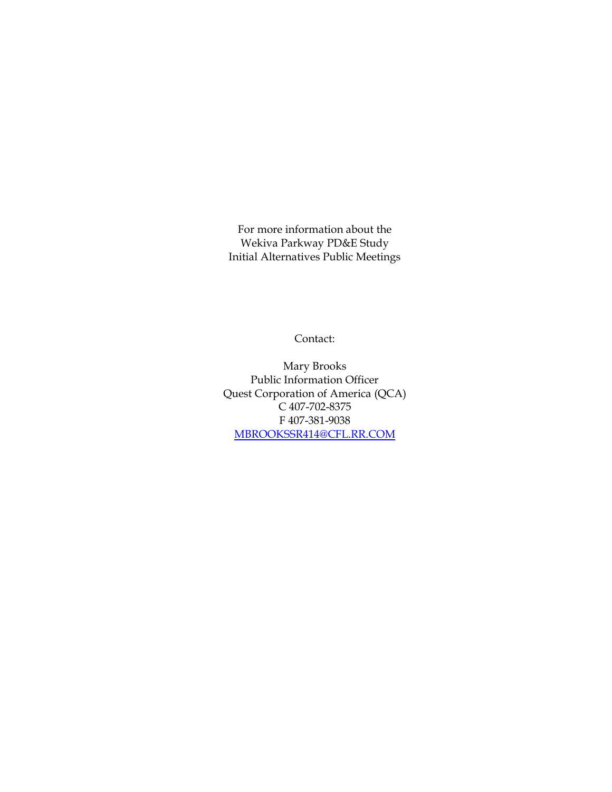For more information about the Wekiva Parkway PD&E Study Initial Alternatives Public Meetings

Contact:

Mary Brooks Public Information Officer Quest Corporation of America (QCA) C 407-702-8375 F 407-381-9038 [MBROOKSSR414@CFL.RR.COM](mailto:MBROOKSSR414@CFL.RR.COM)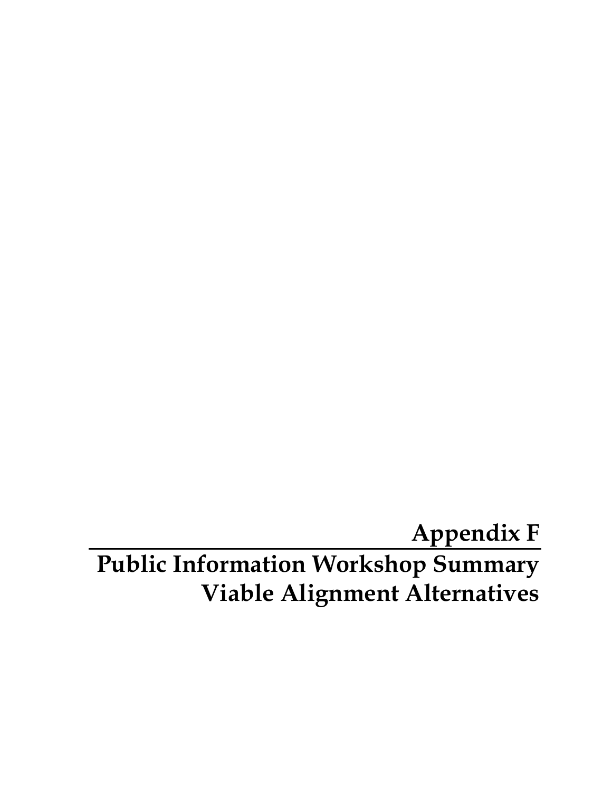**Appendix F Public Information Workshop Summary Viable Alignment Alternatives**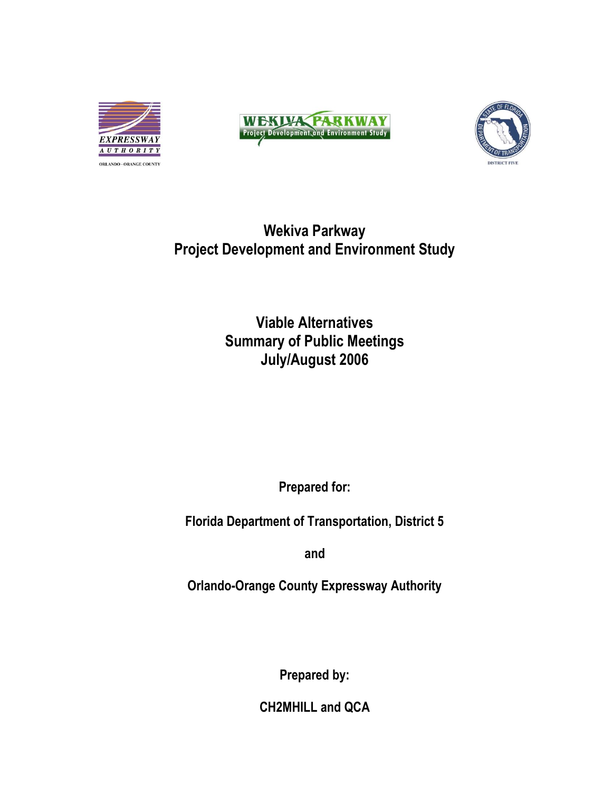





# **Wekiva Parkway Project Development and Environment Study**

# **Viable Alternatives Summary of Public Meetings July/August 2006**

**Prepared for:**

**Florida Department of Transportation, District 5**

**and**

**Orlando-Orange County Expressway Authority**

**Prepared by:**

**CH2MHILL and QCA**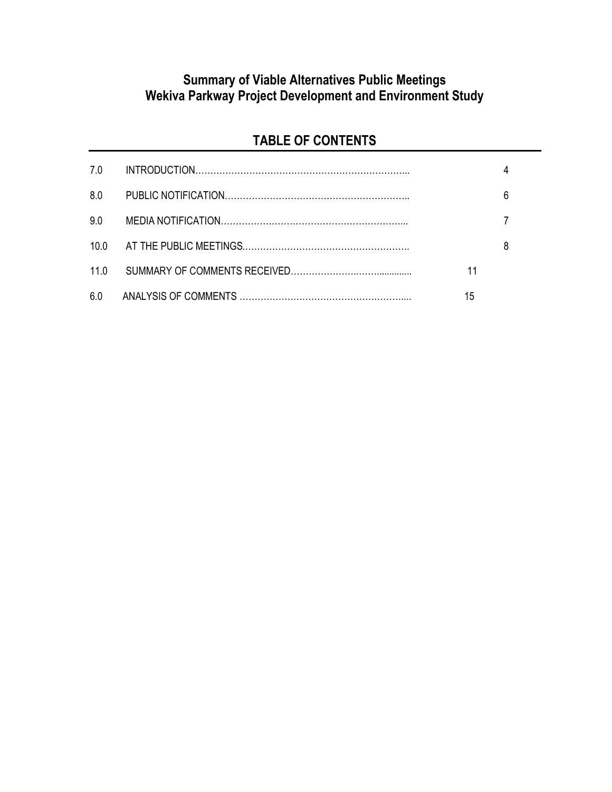# **Summary of Viable Alternatives Public Meetings Wekiva Parkway Project Development and Environment Study**

# **TABLE OF CONTENTS**

| 70              |    |   |
|-----------------|----|---|
| 8.0             |    | 6 |
| 9.0             |    |   |
| 10 $\Omega$     |    | 8 |
| 11 <sub>0</sub> | 11 |   |
| 6.0             | 15 |   |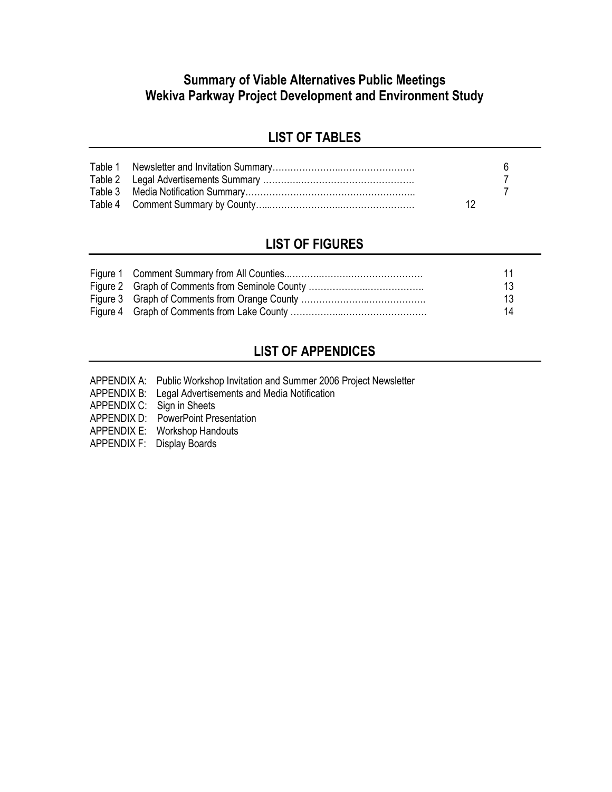# **Summary of Viable Alternatives Public Meetings Wekiva Parkway Project Development and Environment Study**

# **LIST OF TABLES**

# **LIST OF FIGURES**

|  | 13 |
|--|----|
|  | 13 |
|  | 14 |

# **LIST OF APPENDICES**

- APPENDIX A: Public Workshop Invitation and Summer 2006 Project Newsletter
- APPENDIX B: Legal Advertisements and Media Notification
- APPENDIX C: Sign in Sheets
- APPENDIX D: PowerPoint Presentation
- APPENDIX E: Workshop Handouts
- APPENDIX F: Display Boards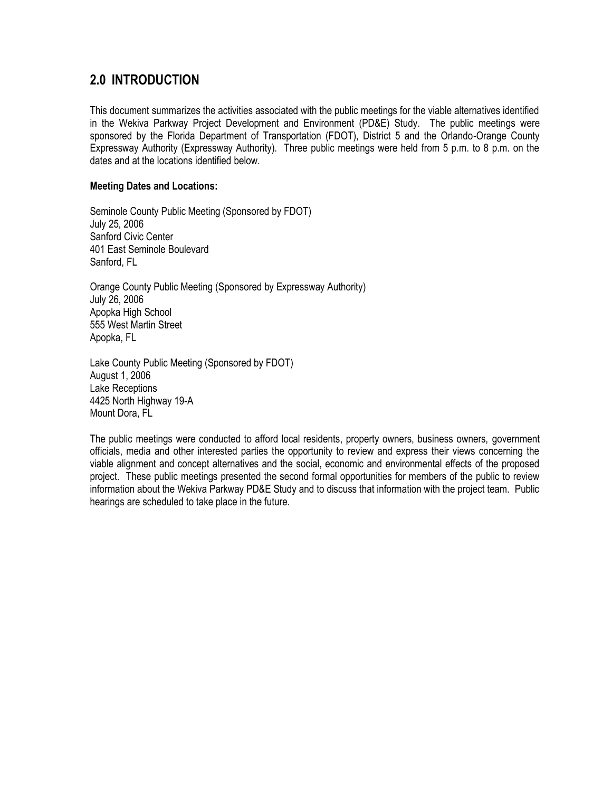# **2.0 INTRODUCTION**

This document summarizes the activities associated with the public meetings for the viable alternatives identified in the Wekiva Parkway Project Development and Environment (PD&E) Study. The public meetings were sponsored by the Florida Department of Transportation (FDOT), District 5 and the Orlando-Orange County Expressway Authority (Expressway Authority). Three public meetings were held from 5 p.m. to 8 p.m. on the dates and at the locations identified below.

### **Meeting Dates and Locations:**

Seminole County Public Meeting (Sponsored by FDOT) July 25, 2006 Sanford Civic Center 401 East Seminole Boulevard Sanford, FL

Orange County Public Meeting (Sponsored by Expressway Authority) July 26, 2006 Apopka High School 555 West Martin Street Apopka, FL

Lake County Public Meeting (Sponsored by FDOT) August 1, 2006 Lake Receptions 4425 North Highway 19-A Mount Dora, FL

The public meetings were conducted to afford local residents, property owners, business owners, government officials, media and other interested parties the opportunity to review and express their views concerning the viable alignment and concept alternatives and the social, economic and environmental effects of the proposed project. These public meetings presented the second formal opportunities for members of the public to review information about the Wekiva Parkway PD&E Study and to discuss that information with the project team. Public hearings are scheduled to take place in the future.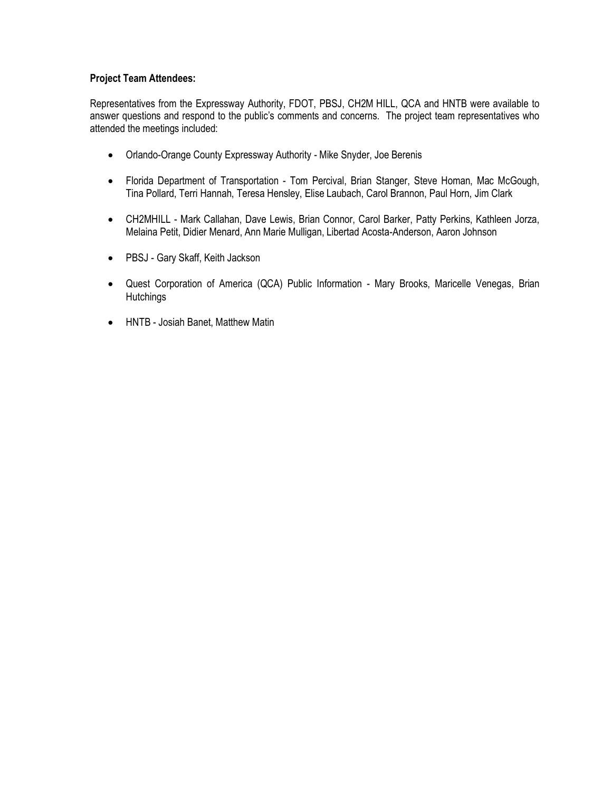### **Project Team Attendees:**

Representatives from the Expressway Authority, FDOT, PBSJ, CH2M HILL, QCA and HNTB were available to answer questions and respond to the public's comments and concerns. The project team representatives who attended the meetings included:

- Orlando-Orange County Expressway Authority Mike Snyder, Joe Berenis
- Florida Department of Transportation Tom Percival, Brian Stanger, Steve Homan, Mac McGough, Tina Pollard, Terri Hannah, Teresa Hensley, Elise Laubach, Carol Brannon, Paul Horn, Jim Clark
- CH2MHILL Mark Callahan, Dave Lewis, Brian Connor, Carol Barker, Patty Perkins, Kathleen Jorza, Melaina Petit, Didier Menard, Ann Marie Mulligan, Libertad Acosta-Anderson, Aaron Johnson
- PBSJ Gary Skaff, Keith Jackson
- Quest Corporation of America (QCA) Public Information Mary Brooks, Maricelle Venegas, Brian **Hutchings**
- HNTB Josiah Banet, Matthew Matin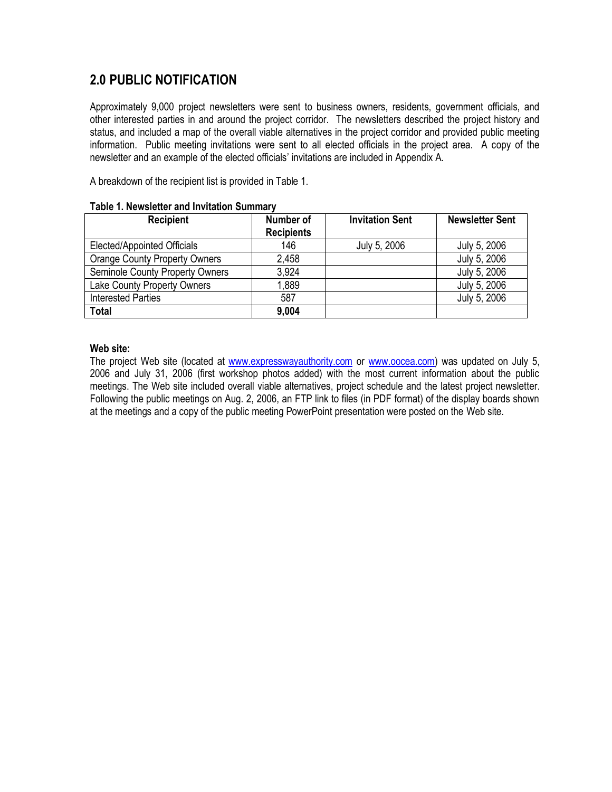# **2.0 PUBLIC NOTIFICATION**

Approximately 9,000 project newsletters were sent to business owners, residents, government officials, and other interested parties in and around the project corridor. The newsletters described the project history and status, and included a map of the overall viable alternatives in the project corridor and provided public meeting information. Public meeting invitations were sent to all elected officials in the project area. A copy of the newsletter and an example of the elected officials' invitations are included in Appendix A.

A breakdown of the recipient list is provided in Table 1.

| <b>Recipient</b>                       | Number of<br><b>Recipients</b> | <b>Invitation Sent</b> | <b>Newsletter Sent</b> |
|----------------------------------------|--------------------------------|------------------------|------------------------|
| Elected/Appointed Officials            | 146                            | July 5, 2006           | July 5, 2006           |
| <b>Orange County Property Owners</b>   | 2,458                          |                        | July 5, 2006           |
| <b>Seminole County Property Owners</b> | 3,924                          |                        | July 5, 2006           |
| Lake County Property Owners            | 1,889                          |                        | July 5, 2006           |
| <b>Interested Parties</b>              | 587                            |                        | July 5, 2006           |
| <b>Total</b>                           | 9,004                          |                        |                        |

#### **Table 1. Newsletter and Invitation Summary**

#### **Web site:**

The project Web site (located at [www.expresswayauthority.com](http://www.expresswayauthority.com/) or [www.oocea.com\)](http://www.oocea.com/) was updated on July 5, 2006 and July 31, 2006 (first workshop photos added) with the most current information about the public meetings. The Web site included overall viable alternatives, project schedule and the latest project newsletter. Following the public meetings on Aug. 2, 2006, an FTP link to files (in PDF format) of the display boards shown at the meetings and a copy of the public meeting PowerPoint presentation were posted on the Web site.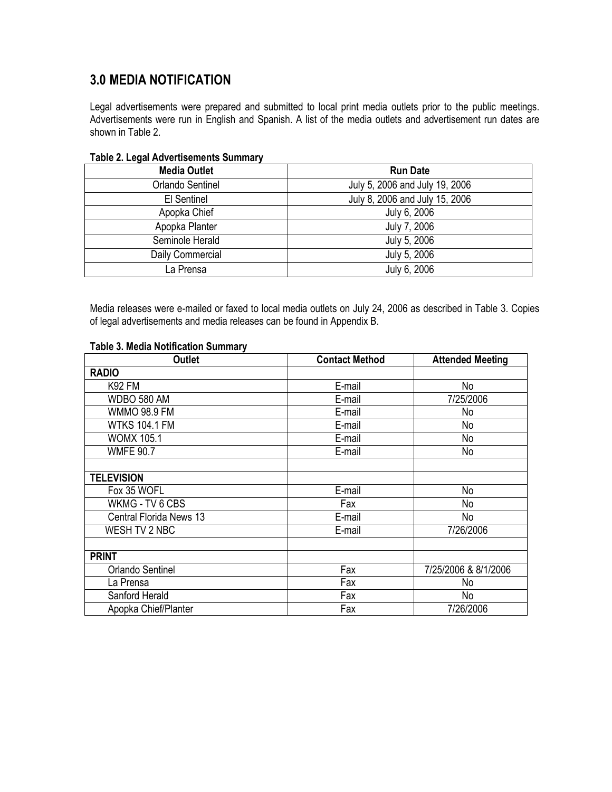# **3.0 MEDIA NOTIFICATION**

Legal advertisements were prepared and submitted to local print media outlets prior to the public meetings. Advertisements were run in English and Spanish. A list of the media outlets and advertisement run dates are shown in Table 2.

| $190002120990111910100011001110000111101$ |                                |  |  |
|-------------------------------------------|--------------------------------|--|--|
| <b>Media Outlet</b>                       | <b>Run Date</b>                |  |  |
| Orlando Sentinel                          | July 5, 2006 and July 19, 2006 |  |  |
| El Sentinel                               | July 8, 2006 and July 15, 2006 |  |  |
| Apopka Chief                              | July 6, 2006                   |  |  |
| Apopka Planter                            | July 7, 2006                   |  |  |
| Seminole Herald                           | July 5, 2006                   |  |  |
| Daily Commercial                          | July 5, 2006                   |  |  |
| La Prensa                                 | July 6, 2006                   |  |  |

### **Table 2. Legal Advertisements Summary**

Media releases were e-mailed or faxed to local media outlets on July 24, 2006 as described in Table 3. Copies of legal advertisements and media releases can be found in Appendix B.

| <b>Outlet</b>           | <b>Contact Method</b> | <b>Attended Meeting</b> |
|-------------------------|-----------------------|-------------------------|
| <b>RADIO</b>            |                       |                         |
| <b>K92 FM</b>           | E-mail                | No                      |
| WDBO 580 AM             | E-mail                | 7/25/2006               |
| WMMO 98.9 FM            | E-mail                | No                      |
| <b>WTKS 104.1 FM</b>    | E-mail                | No                      |
| <b>WOMX 105.1</b>       | E-mail                | No                      |
| <b>WMFE 90.7</b>        | E-mail                | No                      |
| <b>TELEVISION</b>       |                       |                         |
| Fox 35 WOFL             | E-mail                | No                      |
| WKMG - TV 6 CBS         | Fax                   | No                      |
| Central Florida News 13 | E-mail                | No                      |
| WESH TV 2 NBC           | E-mail                | 7/26/2006               |
| <b>PRINT</b>            |                       |                         |
| <b>Orlando Sentinel</b> | Fax                   | 7/25/2006 & 8/1/2006    |
| La Prensa               | Fax                   | No                      |
| Sanford Herald          | Fax                   | No                      |
| Apopka Chief/Planter    | Fax                   | 7/26/2006               |

#### **Table 3. Media Notification Summary**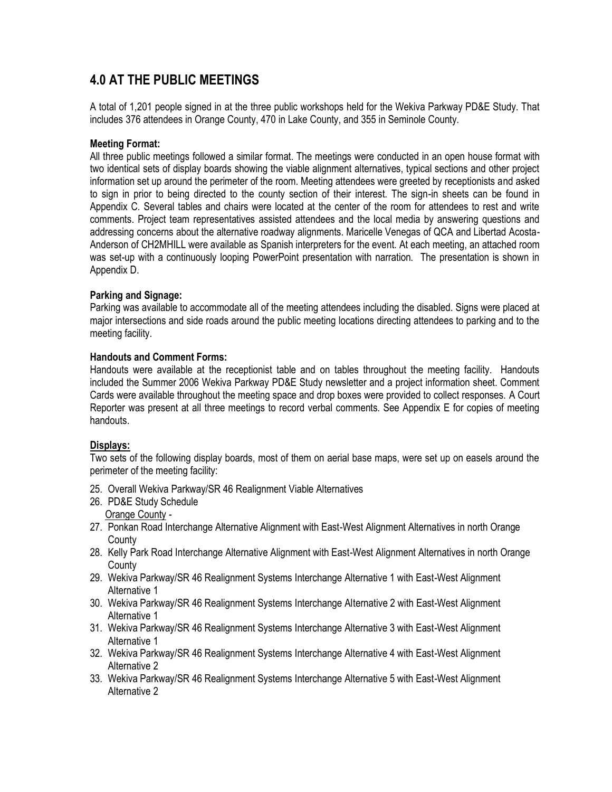# **4.0 AT THE PUBLIC MEETINGS**

A total of 1,201 people signed in at the three public workshops held for the Wekiva Parkway PD&E Study. That includes 376 attendees in Orange County, 470 in Lake County, and 355 in Seminole County.

### **Meeting Format:**

All three public meetings followed a similar format. The meetings were conducted in an open house format with two identical sets of display boards showing the viable alignment alternatives, typical sections and other project information set up around the perimeter of the room. Meeting attendees were greeted by receptionists and asked to sign in prior to being directed to the county section of their interest. The sign-in sheets can be found in Appendix C. Several tables and chairs were located at the center of the room for attendees to rest and write comments. Project team representatives assisted attendees and the local media by answering questions and addressing concerns about the alternative roadway alignments. Maricelle Venegas of QCA and Libertad Acosta-Anderson of CH2MHILL were available as Spanish interpreters for the event. At each meeting, an attached room was set-up with a continuously looping PowerPoint presentation with narration. The presentation is shown in Appendix D.

### **Parking and Signage:**

Parking was available to accommodate all of the meeting attendees including the disabled. Signs were placed at major intersections and side roads around the public meeting locations directing attendees to parking and to the meeting facility.

### **Handouts and Comment Forms:**

Handouts were available at the receptionist table and on tables throughout the meeting facility. Handouts included the Summer 2006 Wekiva Parkway PD&E Study newsletter and a project information sheet. Comment Cards were available throughout the meeting space and drop boxes were provided to collect responses. A Court Reporter was present at all three meetings to record verbal comments. See Appendix E for copies of meeting handouts.

### **Displays:**

Two sets of the following display boards, most of them on aerial base maps, were set up on easels around the perimeter of the meeting facility:

- 25. Overall Wekiva Parkway/SR 46 Realignment Viable Alternatives
- 26. PD&E Study Schedule Orange County -
- 27. Ponkan Road Interchange Alternative Alignment with East-West Alignment Alternatives in north Orange County
- 28. Kelly Park Road Interchange Alternative Alignment with East-West Alignment Alternatives in north Orange **County**
- 29. Wekiva Parkway/SR 46 Realignment Systems Interchange Alternative 1 with East-West Alignment Alternative 1
- 30. Wekiva Parkway/SR 46 Realignment Systems Interchange Alternative 2 with East-West Alignment Alternative 1
- 31. Wekiva Parkway/SR 46 Realignment Systems Interchange Alternative 3 with East-West Alignment Alternative 1
- 32. Wekiva Parkway/SR 46 Realignment Systems Interchange Alternative 4 with East-West Alignment Alternative 2
- 33. Wekiva Parkway/SR 46 Realignment Systems Interchange Alternative 5 with East-West Alignment Alternative 2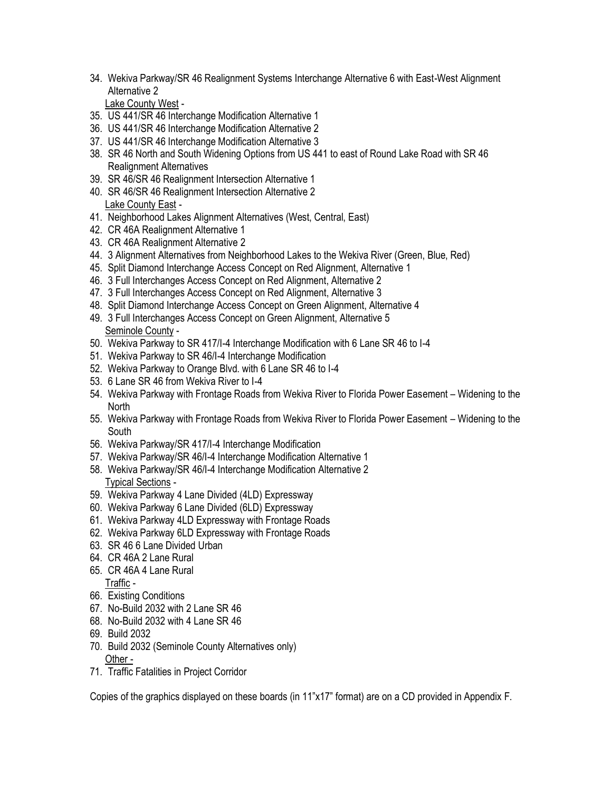34. Wekiva Parkway/SR 46 Realignment Systems Interchange Alternative 6 with East-West Alignment Alternative 2

Lake County West -

- 35. US 441/SR 46 Interchange Modification Alternative 1
- 36. US 441/SR 46 Interchange Modification Alternative 2
- 37. US 441/SR 46 Interchange Modification Alternative 3
- 38. SR 46 North and South Widening Options from US 441 to east of Round Lake Road with SR 46 Realignment Alternatives
- 39. SR 46/SR 46 Realignment Intersection Alternative 1
- 40. SR 46/SR 46 Realignment Intersection Alternative 2 Lake County East -
- 41. Neighborhood Lakes Alignment Alternatives (West, Central, East)
- 42. CR 46A Realignment Alternative 1
- 43. CR 46A Realignment Alternative 2
- 44. 3 Alignment Alternatives from Neighborhood Lakes to the Wekiva River (Green, Blue, Red)
- 45. Split Diamond Interchange Access Concept on Red Alignment, Alternative 1
- 46. 3 Full Interchanges Access Concept on Red Alignment, Alternative 2
- 47. 3 Full Interchanges Access Concept on Red Alignment, Alternative 3
- 48. Split Diamond Interchange Access Concept on Green Alignment, Alternative 4
- 49. 3 Full Interchanges Access Concept on Green Alignment, Alternative 5 Seminole County -
- 50. Wekiva Parkway to SR 417/I-4 Interchange Modification with 6 Lane SR 46 to I-4
- 51. Wekiva Parkway to SR 46/I-4 Interchange Modification
- 52. Wekiva Parkway to Orange Blvd. with 6 Lane SR 46 to I-4
- 53. 6 Lane SR 46 from Wekiva River to I-4
- 54. Wekiva Parkway with Frontage Roads from Wekiva River to Florida Power Easement Widening to the **North**
- 55. Wekiva Parkway with Frontage Roads from Wekiva River to Florida Power Easement Widening to the **South**
- 56. Wekiva Parkway/SR 417/I-4 Interchange Modification
- 57. Wekiva Parkway/SR 46/I-4 Interchange Modification Alternative 1
- 58. Wekiva Parkway/SR 46/I-4 Interchange Modification Alternative 2 Typical Sections -
- 59. Wekiva Parkway 4 Lane Divided (4LD) Expressway
- 60. Wekiva Parkway 6 Lane Divided (6LD) Expressway
- 61. Wekiva Parkway 4LD Expressway with Frontage Roads
- 62. Wekiva Parkway 6LD Expressway with Frontage Roads
- 63. SR 46 6 Lane Divided Urban
- 64. CR 46A 2 Lane Rural
- 65. CR 46A 4 Lane Rural Traffic -
- 66. Existing Conditions
- 67. No-Build 2032 with 2 Lane SR 46
- 68. No-Build 2032 with 4 Lane SR 46
- 69. Build 2032
- 70. Build 2032 (Seminole County Alternatives only)
- Other -
- 71. Traffic Fatalities in Project Corridor

Copies of the graphics displayed on these boards (in 11"x17" format) are on a CD provided in Appendix F.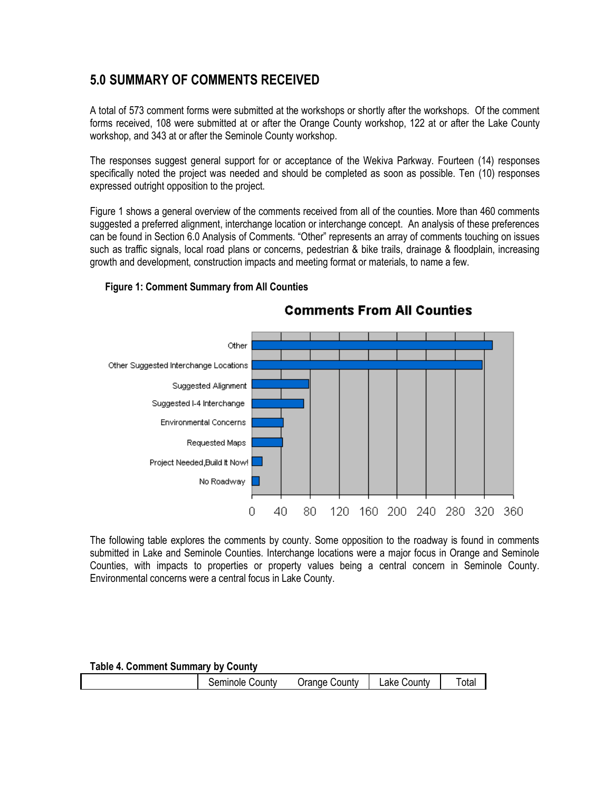## **5.0 SUMMARY OF COMMENTS RECEIVED**

A total of 573 comment forms were submitted at the workshops or shortly after the workshops. Of the comment forms received, 108 were submitted at or after the Orange County workshop, 122 at or after the Lake County workshop, and 343 at or after the Seminole County workshop.

The responses suggest general support for or acceptance of the Wekiva Parkway. Fourteen (14) responses specifically noted the project was needed and should be completed as soon as possible. Ten (10) responses expressed outright opposition to the project.

Figure 1 shows a general overview of the comments received from all of the counties. More than 460 comments suggested a preferred alignment, interchange location or interchange concept. An analysis of these preferences can be found in Section 6.0 Analysis of Comments. "Other" represents an array of comments touching on issues such as traffic signals, local road plans or concerns, pedestrian & bike trails, drainage & floodplain, increasing growth and development, construction impacts and meeting format or materials, to name a few.



### **Figure 1: Comment Summary from All Counties**

The following table explores the comments by county. Some opposition to the roadway is found in comments submitted in Lake and Seminole Counties. Interchange locations were a major focus in Orange and Seminole Counties, with impacts to properties or property values being a central concern in Seminole County. Environmental concerns were a central focus in Lake County.

| <b>Table 4. Comment Summary by County</b> |                 |               |             |       |  |  |  |
|-------------------------------------------|-----------------|---------------|-------------|-------|--|--|--|
|                                           | Seminole County | Orange County | Lake County | Total |  |  |  |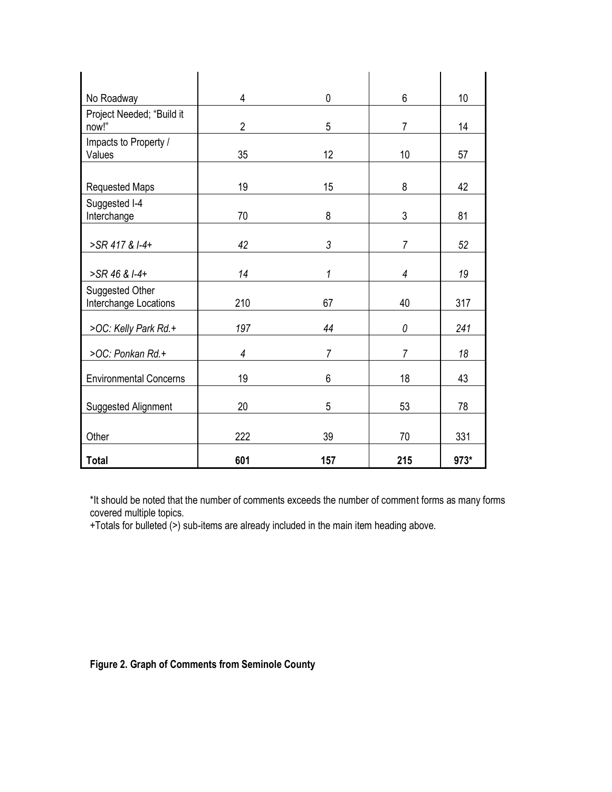| No Roadway                               | 4              | $\mathbf 0$ | 6              | 10   |
|------------------------------------------|----------------|-------------|----------------|------|
| Project Needed; "Build it<br>now!"       | $\overline{2}$ | 5           | $\overline{7}$ | 14   |
| Impacts to Property /<br>Values          | 35             | 12          | 10             | 57   |
| <b>Requested Maps</b>                    | 19             | 15          | 8              | 42   |
| Suggested I-4<br>Interchange             | 70             | 8           | 3              | 81   |
| >SR 417 & I-4+                           | 42             | 3           | $\overline{7}$ | 52   |
| >SR 46 & I-4+                            | 14             | 1           | 4              | 19   |
| Suggested Other<br>Interchange Locations | 210            | 67          | 40             | 317  |
| >OC: Kelly Park Rd.+                     | 197            | 44          | 0              | 241  |
| >OC: Ponkan Rd.+                         | 4              | 7           | 7              | 18   |
| <b>Environmental Concerns</b>            | 19             | 6           | 18             | 43   |
| Suggested Alignment                      | 20             | 5           | 53             | 78   |
| Other                                    | 222            | 39          | 70             | 331  |
| <b>Total</b>                             | 601            | 157         | 215            | 973* |

\*It should be noted that the number of comments exceeds the number of comment forms as many forms covered multiple topics.

+Totals for bulleted (>) sub-items are already included in the main item heading above.

### **Figure 2. Graph of Comments from Seminole County**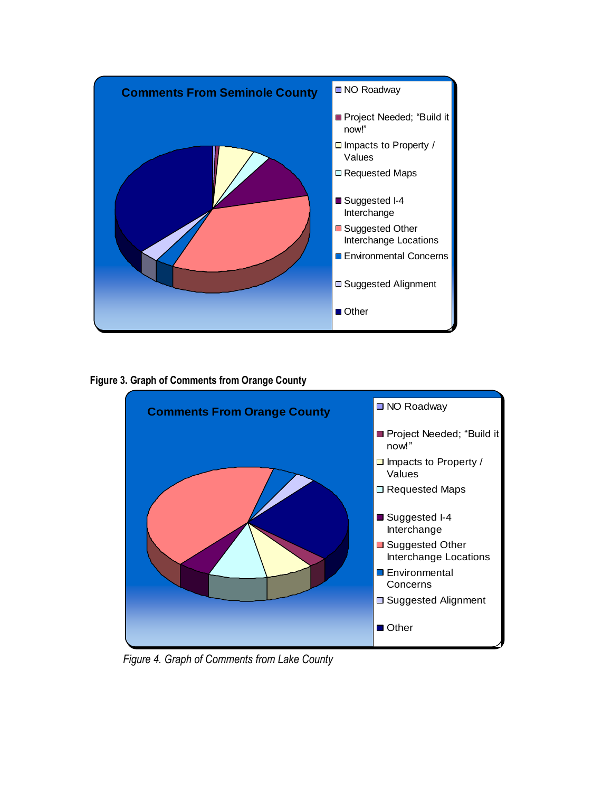

**Figure 3. Graph of Comments from Orange County**



 *Figure 4. Graph of Comments from Lake County*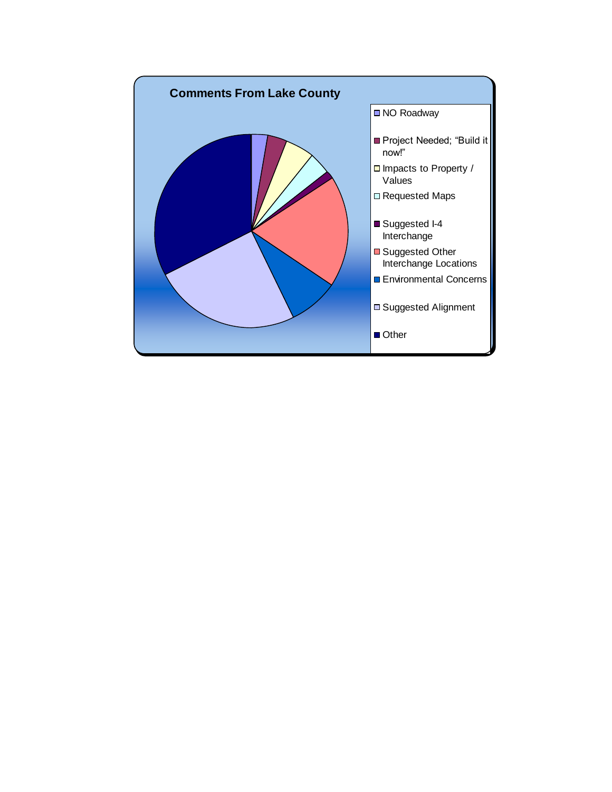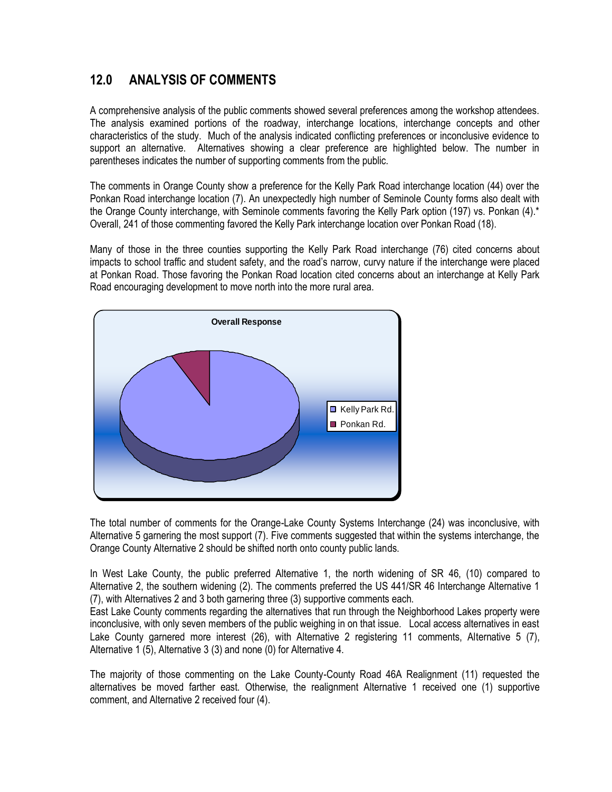# **12.0 ANALYSIS OF COMMENTS**

A comprehensive analysis of the public comments showed several preferences among the workshop attendees. The analysis examined portions of the roadway, interchange locations, interchange concepts and other characteristics of the study. Much of the analysis indicated conflicting preferences or inconclusive evidence to support an alternative. Alternatives showing a clear preference are highlighted below. The number in parentheses indicates the number of supporting comments from the public.

The comments in Orange County show a preference for the Kelly Park Road interchange location (44) over the Ponkan Road interchange location (7). An unexpectedly high number of Seminole County forms also dealt with the Orange County interchange, with Seminole comments favoring the Kelly Park option (197) vs. Ponkan (4).\* Overall, 241 of those commenting favored the Kelly Park interchange location over Ponkan Road (18).

Many of those in the three counties supporting the Kelly Park Road interchange (76) cited concerns about impacts to school traffic and student safety, and the road's narrow, curvy nature if the interchange were placed at Ponkan Road. Those favoring the Ponkan Road location cited concerns about an interchange at Kelly Park Road encouraging development to move north into the more rural area.



The total number of comments for the Orange-Lake County Systems Interchange (24) was inconclusive, with Alternative 5 garnering the most support (7). Five comments suggested that within the systems interchange, the Orange County Alternative 2 should be shifted north onto county public lands.

In West Lake County, the public preferred Alternative 1, the north widening of SR 46, (10) compared to Alternative 2, the southern widening (2). The comments preferred the US 441/SR 46 Interchange Alternative 1 (7), with Alternatives 2 and 3 both garnering three (3) supportive comments each.

East Lake County comments regarding the alternatives that run through the Neighborhood Lakes property were inconclusive, with only seven members of the public weighing in on that issue. Local access alternatives in east Lake County garnered more interest (26), with Alternative 2 registering 11 comments, Alternative 5 (7), Alternative 1 (5), Alternative 3 (3) and none (0) for Alternative 4.

The majority of those commenting on the Lake County-County Road 46A Realignment (11) requested the alternatives be moved farther east. Otherwise, the realignment Alternative 1 received one (1) supportive comment, and Alternative 2 received four (4).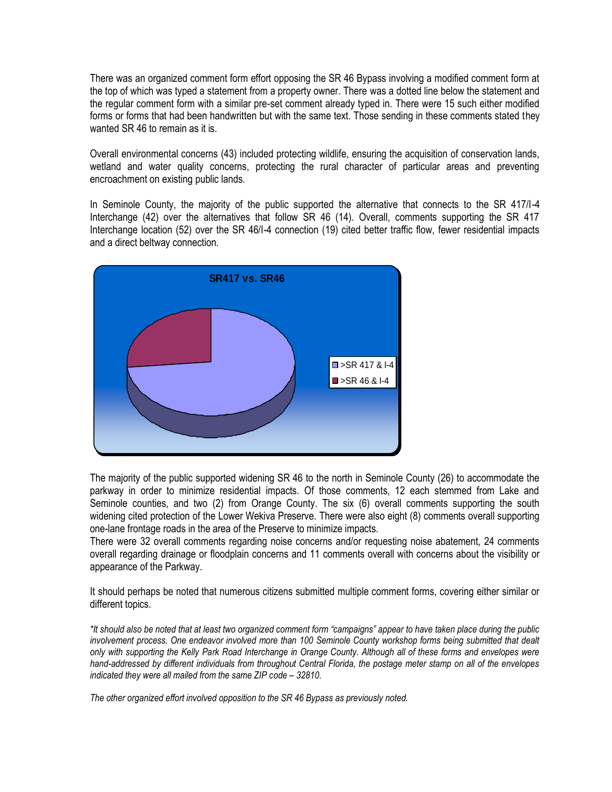There was an organized comment form effort opposing the SR 46 Bypass involving a modified comment form at the top of which was typed a statement from a property owner. There was a dotted line below the statement and the regular comment form with a similar pre-set comment already typed in. There were 15 such either modified forms or forms that had been handwritten but with the same text. Those sending in these comments stated they wanted SR 46 to remain as it is.

Overall environmental concerns (43) included protecting wildlife, ensuring the acquisition of conservation lands, wetland and water quality concerns, protecting the rural character of particular areas and preventing encroachment on existing public lands.

In Seminole County, the majority of the public supported the alternative that connects to the SR 417/I-4 Interchange (42) over the alternatives that follow SR 46 (14). Overall, comments supporting the SR 417 Interchange location (52) over the SR 46/I-4 connection (19) cited better traffic flow, fewer residential impacts and a direct beltway connection.



The majority of the public supported widening SR 46 to the north in Seminole County (26) to accommodate the parkway in order to minimize residential impacts. Of those comments, 12 each stemmed from Lake and Seminole counties, and two (2) from Orange County. The six (6) overall comments supporting the south widening cited protection of the Lower Wekiva Preserve. There were also eight (8) comments overall supporting one-lane frontage roads in the area of the Preserve to minimize impacts.

There were 32 overall comments regarding noise concerns and/or requesting noise abatement, 24 comments overall regarding drainage or floodplain concerns and 11 comments overall with concerns about the visibility or appearance of the Parkway.

It should perhaps be noted that numerous citizens submitted multiple comment forms, covering either similar or different topics.

*\*It should also be noted that at least two organized comment form "campaigns" appear to have taken place during the public*  involvement process. One endeavor involved more than 100 Seminole County workshop forms being submitted that dealt *only with supporting the Kelly Park Road Interchange in Orange County. Although all of these forms and envelopes were hand-addressed by different individuals from throughout Central Florida, the postage meter stamp on all of the envelopes indicated they were all mailed from the same ZIP code – 32810.* 

*The other organized effort involved opposition to the SR 46 Bypass as previously noted.*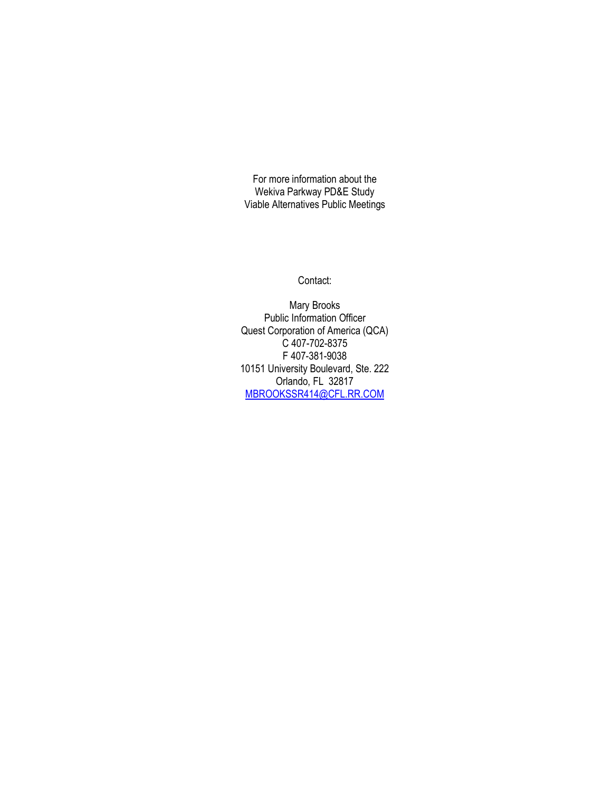For more information about the Wekiva Parkway PD&E Study Viable Alternatives Public Meetings

Contact:

Mary Brooks Public Information Officer Quest Corporation of America (QCA) C 407-702-8375 F 407-381-9038 10151 University Boulevard, Ste. 222 Orlando, FL 32817 [MBROOKSSR414@CFL.RR.COM](mailto:MBROOKSSR414@CFL.RR.COM)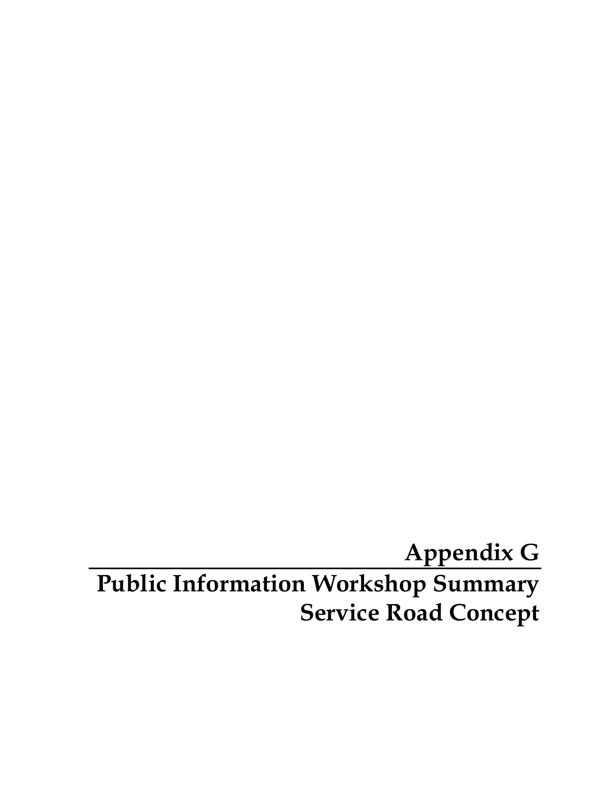# **Appendix G Public Information Workshop Summary Service Road Concept**